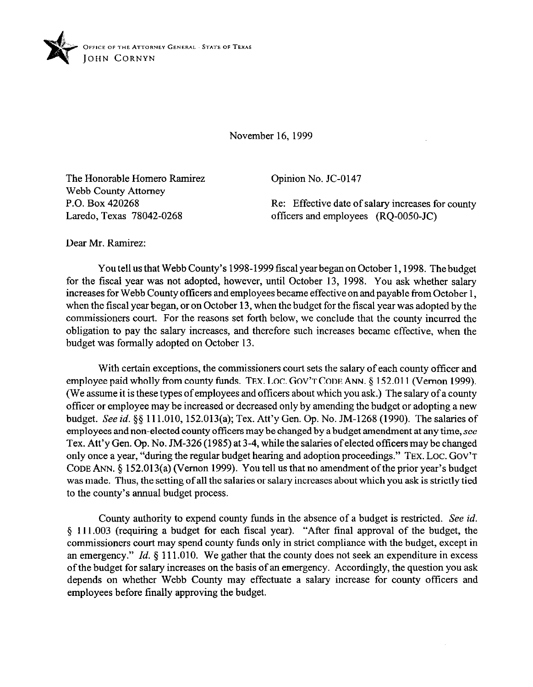

November 16. 1999

The Honorable Homero Ramirez Webb County Attorney P.O. Box 420268 Laredo, Texas 78042-0268

Opinion No. JC-0147

Re: Effective date of salary increases for county officers and employees (RQ-OOSO-JC)

Dear Mr. Ramirez:

You tell us that Webb County's 1998-1999 fiscal year began on October 1, 1998. The budget for the fiscal year was not adopted, however, until October 13, 1998. You ask whether salary increases for Webb County officers and employees became effective on and payable from October 1, when the fiscal year began, or on October 13, when the budget for the fiscal year was adopted by the commissioners court. For the reasons set forth below, we conclude that the county incurred the obligation to pay the salary increases, and therefore such increases became effective, when the budget was formally adopted on October 13.

With certain exceptions, the commissioners court sets the salary of each county officer and employee paid wholly from county funds. TEX. LOC. GOV'T CODE ANN. § 152.011 (Vernon 1999). (We assume it is these types of employees and offtcers about which you ask.) The salary of a county officer or employee may be increased or decreased only by amending the budget or adopting a new budget. See *id.* 55 111.010, 152.013(a); Tex. Att'y Gen. Op. No. JM-1268 (1990). The salaries of employees and non-elected county officers may be changed by a budget amendment at any time, see Tex. Att'y Gen. Op. No. JM-326 (1985) at 3-4, while the salaries of elected officers may be changed only once a year, "during the regular budget hearing and adoption proceedings." TEX. LOC. GOV'T CODE ANN. 5 152.013(a) (Vernon 1999). You tell us that no amendment of the prior year's budget was made. Thus, the setting of all the salaries or salary increases about which you ask is strictly tied to the county's annual budget process.

County authority to expend county funds in the absence of a budget is restricted. See *id.*  \$ 111.003 (requiring a budget for each fiscal year). "After final approval of the budget, the commissioners court may spend county funds only in strict compliance with the budget, except in an emergency." *Id.* § 111.010. We gather that the county does not seek an expenditure in excess ofthe budget for salary increases on the basis of an emergency. Accordingly, the question you ask depends on whether Webb County may effectuate a salary increase for county officers and employees before finally approving the budget.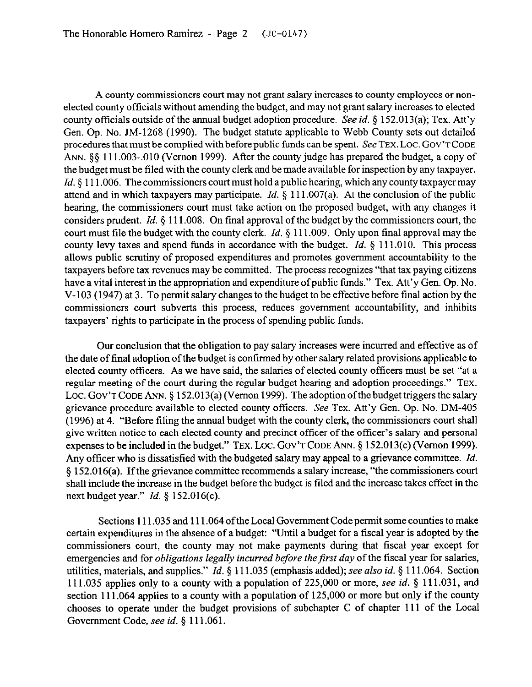A county commissioners court may not grant salary increases to county employees or nonelected county officials without amending the budget, and may not grant salary increases to elected county officials outside of the annual budget adoption procedure. See *id.* 5 152.013(a); Tex. Att'y Gen. Op. No. JM-1268 (1990). The budget statute applicable to Webb County sets out detailed procedures that must be complied with before public funds can be spent. *See* TEX. LOC. GOV'T CODE ANN.  $\S$ § 111.003-010 (Vernon 1999). After the county judge has prepared the budget, a copy of the budget must be filed with the county clerk and be made available for inspection by any taxpayer. *Id.* § 111.006. The commissioners court must hold a public hearing, which any county taxpayer may attend and in which taxpayers may participate. *Id.* § 111.007(a). At the conclusion of the public hearing, the commissioners court must take action on the proposed budget, with any changes it considers prudent. *Id.* 5 111.008. On final approval of the budget by the commissioners court, the court must file the budget with the county clerk. *Id.* § 111.009. Only upon final approval may the county levy taxes and spend funds in accordance with the budget. *Id.* 5 111.010. This process allows public scrutiny of proposed expenditures and promotes government accountability to the taxpayers before tax revenues may be committed. The process recognizes "that tax paying citizens have a vital interest in the appropriation and expenditure of public funds." Tex. Att'y Gen. Op. No. V-103 (1947) at 3. To permit salary changes to the budget to be effective before final action by the commissioners court subverts this process, reduces government accountability, and inhibits taxpayers' rights to participate in the process of spending public funds.

Our conclusion that the obligation to pay salary increases were incurred and effective as of the date of final adoption of the budget is confirmed by other salary related provisions applicable to elected county officers. As we have said, the salaries of elected county officers must be set "at a regular meeting of the court during the regular budget hearing and adoption proceedings." **TEX.**  Loc. Gov't Code Ann. § 152.013(a) (Vernon 1999). The adoption of the budget triggers the salary grievance procedure available to elected county officers. See Tex. Att'y Gen. Op. No. DM-405 (1996) at 4. "Before tiling the annual budget with the county clerk, the commissioners court shall give written notice to each elected county and precinct officer of the officer's salary and personal expenses to be included in the budget." TEX. LOC. GOV'T CODE ANN. § 152.013(c) (Vernon 1999). Any officer who is dissatisfied with the budgeted salary may appeal to a grievance committee. *Id.*  9 152.016(a). If the grievance committee recommends a salary increase, "the commissioners court shall include the increase in the budget before the budget is tiled and the increase takes effect in the next budget year." *Id. 5* 152.016(c).

Sections 111.035 and 111.064 of the Local Government Code permit some counties to make certain expenditures in the absence of a budget: "Until a budget for a fiscal year is adopted by the commissioners court, the county may not make payments during that fiscal year except for emergencies and for *obligations legally incurred before the first day* of the fiscal year for salaries, utilities, materials, and supplies." *Id.* 5 111.035 (emphasis added); see also *id.* 5 111.064. Section 111.035 applies only to a county with a population of 225,000 or more, see *id.* 5 111.03 1, and section 111.064 applies to a county with a population of 125,000 or more but only if the county chooses to operate under the budget provisions of subchapter C of chapter 111 of the Local Govennnent Code, see *id. 5* 111.061.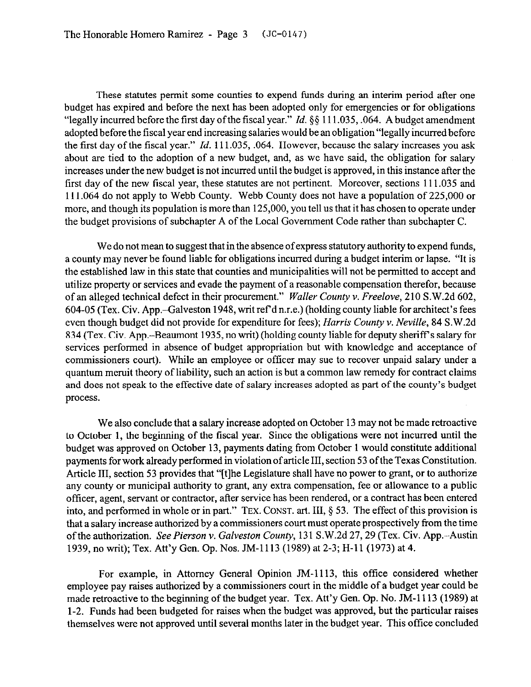These statutes permit some counties to expend funds during an interim period after one budget has expired and before the next has been adopted only for emergencies or for obligations "legally incurred before the first day of the fiscal year." *Id.* §§ 111.035, .064. A budget amendment adopted before the fiscal year end increasing salaries would be an obligation "legally incurred before the first day of the fiscal year." *Id.* 111.035, ,064. However, because the salary increases you ask about are tied to the adoption of a new budget, and, as we have said, the obligation for salary increases under the new budget is not incurred until the budget is approved, in this instance after the first day of the new fiscal year, these statutes are not pertinent. Moreover, sections 111.035 and 111.064 do not apply to Webb County. Webb County does not have a population of 225,000 or more, and though its population is more than 125,000, you tell us that it has chosen to operate under the budget provisions of subchapter A of the Local Government Code rather than subchapter C.

We do not mean to suggest that in the absence of express statutory authority to expend funds, a county may never be found liable for obligations incurred during a budget interim or lapse. "It is the established law in this state that counties and municipalities will not be permitted to accept and utilize property or services and evade the payment of a reasonable compensation therefor, because of an alleged technical defect in their procurement." *Wailer County v. Freelove,* 210 S.W.2d 602, 604-05 (Tex. Civ. App.-Galveston 1948, writ ref d n.r.e.) (holding county liable for architect's fees even though budget did not provide for expenditure for fees); *Harris County v. Neville, 84* S.W.2d 834 (Tex. Civ. App.-Beaumont 1935, no writ) (holding county liable for deputy sheriff's salary for services performed in absence of budget appropriation but with knowledge and acceptance of commissioners court). While an employee or officer may sue to recover unpaid salary under a quantum meruit theory of liability, such an action is but a common law remedy for contract claims and does not speak to the effective date of salary increases adopted as part of the county's budget process.

We also conclude that a salary increase adopted on October 13 may not be made retroactive to October 1, the beginning of the fiscal year. Since the obligations were not incurred until the budget was approved on October 13, payments dating from October 1 would constitute additional payments for work already performed in violation of article III, section 53 ofthe Texas Constitution. Article **III,** section 53 provides that "[tlhe Legislature shall have no power to grant, or to authorize any county or municipal authority to grant, any extra compensation, fee or allowance to a public officer, agent, servant or contractor, after service has been rendered, or a contract has been entered into, and performed in whole or in part." **TEX. CONST.** art. III, § 53. The effect of this provision is that a salary increase authorized by a commissioners court must operate prospectively from the time of the authorization. *See Pierson* v. *Galveston County,* 131 S.W.2d 27,29 (Tex. Civ. App.-Austin 1939, no writ); Tex. Att'y Gen. Op. Nos. JM-1113 (1989) at 2-3; H-11 (1973) at 4.

For example, in Attorney General Opinion IM-1113, this office considered whether employee pay raises authorized by a commissioners court in the middle of a budget year could be made retroactive to the beginning of the budget year. Tex. Att'y Gen. Op. No. JM-1113 (1989) at l-2. Funds had been budgeted for raises when the budget was approved, but the particular raises themselves were not approved until several months later in the budget year. This office concluded